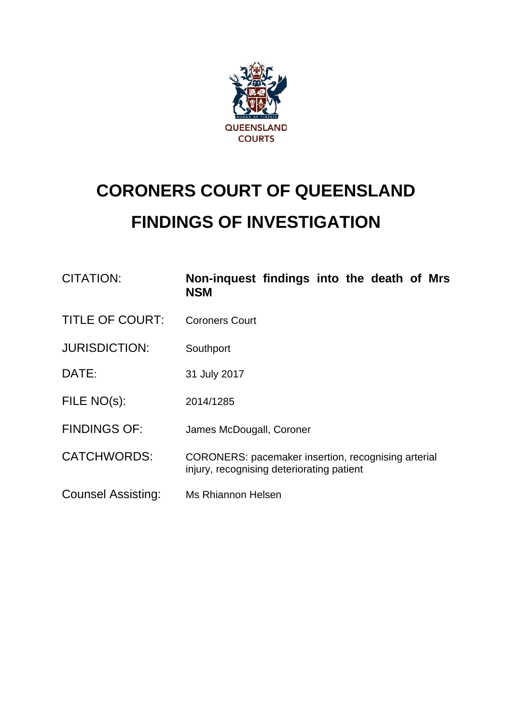

# **CORONERS COURT OF QUEENSLAND FINDINGS OF INVESTIGATION**

| CITATION:                 | Non-inquest findings into the death of Mrs<br><b>NSM</b>                                         |
|---------------------------|--------------------------------------------------------------------------------------------------|
| <b>TITLE OF COURT:</b>    | <b>Coroners Court</b>                                                                            |
| <b>JURISDICTION:</b>      | Southport                                                                                        |
| DATE:                     | 31 July 2017                                                                                     |
| FILE NO(s):               | 2014/1285                                                                                        |
| <b>FINDINGS OF:</b>       | James McDougall, Coroner                                                                         |
| <b>CATCHWORDS:</b>        | CORONERS: pacemaker insertion, recognising arterial<br>injury, recognising deteriorating patient |
| <b>Counsel Assisting:</b> | Ms Rhiannon Helsen                                                                               |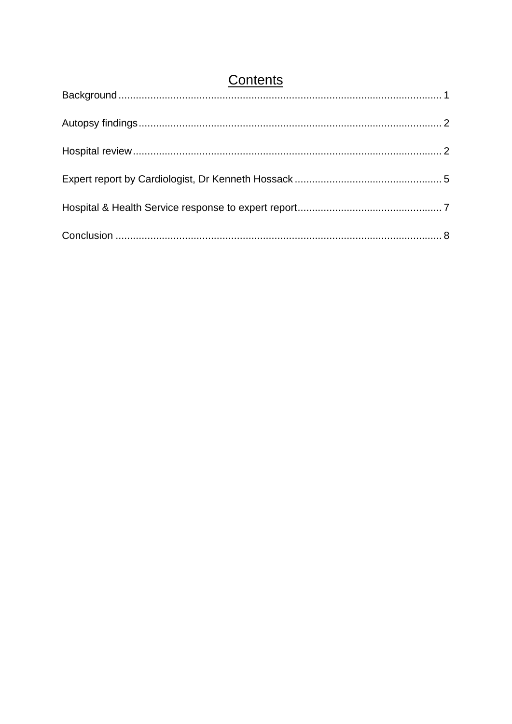<span id="page-1-0"></span>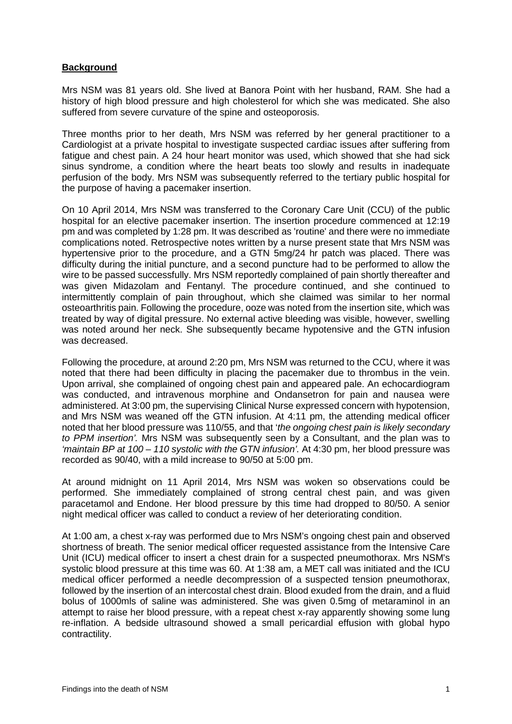### **Background**

Mrs NSM was 81 years old. She lived at Banora Point with her husband, RAM. She had a history of high blood pressure and high cholesterol for which she was medicated. She also suffered from severe curvature of the spine and osteoporosis.

Three months prior to her death, Mrs NSM was referred by her general practitioner to a Cardiologist at a private hospital to investigate suspected cardiac issues after suffering from fatigue and chest pain. A 24 hour heart monitor was used, which showed that she had sick sinus syndrome, a condition where the heart beats too slowly and results in inadequate perfusion of the body. Mrs NSM was subsequently referred to the tertiary public hospital for the purpose of having a pacemaker insertion.

On 10 April 2014, Mrs NSM was transferred to the Coronary Care Unit (CCU) of the public hospital for an elective pacemaker insertion. The insertion procedure commenced at 12:19 pm and was completed by 1:28 pm. It was described as 'routine' and there were no immediate complications noted. Retrospective notes written by a nurse present state that Mrs NSM was hypertensive prior to the procedure, and a GTN 5mg/24 hr patch was placed. There was difficulty during the initial puncture, and a second puncture had to be performed to allow the wire to be passed successfully. Mrs NSM reportedly complained of pain shortly thereafter and was given Midazolam and Fentanyl. The procedure continued, and she continued to intermittently complain of pain throughout, which she claimed was similar to her normal osteoarthritis pain. Following the procedure, ooze was noted from the insertion site, which was treated by way of digital pressure. No external active bleeding was visible, however, swelling was noted around her neck. She subsequently became hypotensive and the GTN infusion was decreased.

Following the procedure, at around 2:20 pm, Mrs NSM was returned to the CCU, where it was noted that there had been difficulty in placing the pacemaker due to thrombus in the vein. Upon arrival, she complained of ongoing chest pain and appeared pale. An echocardiogram was conducted, and intravenous morphine and Ondansetron for pain and nausea were administered. At 3:00 pm, the supervising Clinical Nurse expressed concern with hypotension, and Mrs NSM was weaned off the GTN infusion. At 4:11 pm, the attending medical officer noted that her blood pressure was 110/55, and that '*the ongoing chest pain is likely secondary to PPM insertion'.* Mrs NSM was subsequently seen by a Consultant, and the plan was to *'maintain BP at 100 – 110 systolic with the GTN infusion'.* At 4:30 pm, her blood pressure was recorded as 90/40, with a mild increase to 90/50 at 5:00 pm.

At around midnight on 11 April 2014, Mrs NSM was woken so observations could be performed. She immediately complained of strong central chest pain, and was given paracetamol and Endone. Her blood pressure by this time had dropped to 80/50. A senior night medical officer was called to conduct a review of her deteriorating condition.

At 1:00 am, a chest x-ray was performed due to Mrs NSM's ongoing chest pain and observed shortness of breath. The senior medical officer requested assistance from the Intensive Care Unit (ICU) medical officer to insert a chest drain for a suspected pneumothorax. Mrs NSM's systolic blood pressure at this time was 60. At 1:38 am, a MET call was initiated and the ICU medical officer performed a needle decompression of a suspected tension pneumothorax, followed by the insertion of an intercostal chest drain. Blood exuded from the drain, and a fluid bolus of 1000mls of saline was administered. She was given 0.5mg of metaraminol in an attempt to raise her blood pressure, with a repeat chest x-ray apparently showing some lung re-inflation. A bedside ultrasound showed a small pericardial effusion with global hypo contractility.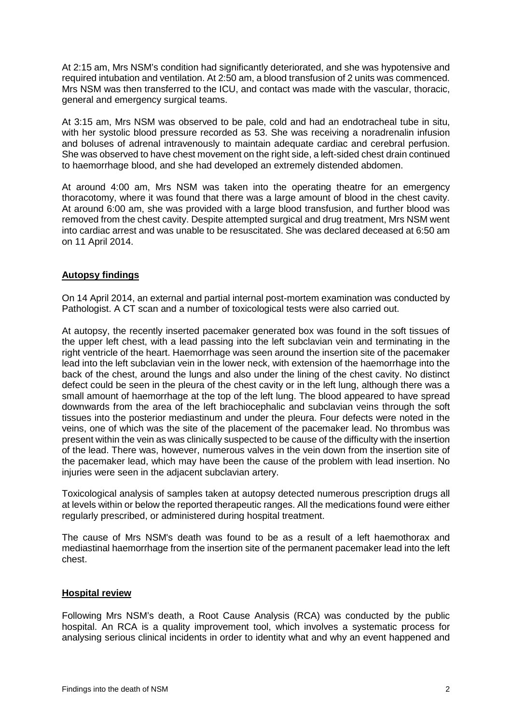At 2:15 am, Mrs NSM's condition had significantly deteriorated, and she was hypotensive and required intubation and ventilation. At 2:50 am, a blood transfusion of 2 units was commenced. Mrs NSM was then transferred to the ICU, and contact was made with the vascular, thoracic, general and emergency surgical teams.

At 3:15 am, Mrs NSM was observed to be pale, cold and had an endotracheal tube in situ, with her systolic blood pressure recorded as 53. She was receiving a noradrenalin infusion and boluses of adrenal intravenously to maintain adequate cardiac and cerebral perfusion. She was observed to have chest movement on the right side, a left-sided chest drain continued to haemorrhage blood, and she had developed an extremely distended abdomen.

At around 4:00 am, Mrs NSM was taken into the operating theatre for an emergency thoracotomy, where it was found that there was a large amount of blood in the chest cavity. At around 6:00 am, she was provided with a large blood transfusion, and further blood was removed from the chest cavity. Despite attempted surgical and drug treatment, Mrs NSM went into cardiac arrest and was unable to be resuscitated. She was declared deceased at 6:50 am on 11 April 2014.

## <span id="page-3-0"></span>**Autopsy findings**

On 14 April 2014, an external and partial internal post-mortem examination was conducted by Pathologist. A CT scan and a number of toxicological tests were also carried out.

At autopsy, the recently inserted pacemaker generated box was found in the soft tissues of the upper left chest, with a lead passing into the left subclavian vein and terminating in the right ventricle of the heart. Haemorrhage was seen around the insertion site of the pacemaker lead into the left subclavian vein in the lower neck, with extension of the haemorrhage into the back of the chest, around the lungs and also under the lining of the chest cavity. No distinct defect could be seen in the pleura of the chest cavity or in the left lung, although there was a small amount of haemorrhage at the top of the left lung. The blood appeared to have spread downwards from the area of the left brachiocephalic and subclavian veins through the soft tissues into the posterior mediastinum and under the pleura. Four defects were noted in the veins, one of which was the site of the placement of the pacemaker lead. No thrombus was present within the vein as was clinically suspected to be cause of the difficulty with the insertion of the lead. There was, however, numerous valves in the vein down from the insertion site of the pacemaker lead, which may have been the cause of the problem with lead insertion. No injuries were seen in the adjacent subclavian artery.

Toxicological analysis of samples taken at autopsy detected numerous prescription drugs all at levels within or below the reported therapeutic ranges. All the medications found were either regularly prescribed, or administered during hospital treatment.

The cause of Mrs NSM's death was found to be as a result of a left haemothorax and mediastinal haemorrhage from the insertion site of the permanent pacemaker lead into the left chest.

#### <span id="page-3-1"></span>**Hospital review**

Following Mrs NSM's death, a Root Cause Analysis (RCA) was conducted by the public hospital. An RCA is a quality improvement tool, which involves a systematic process for analysing serious clinical incidents in order to identity what and why an event happened and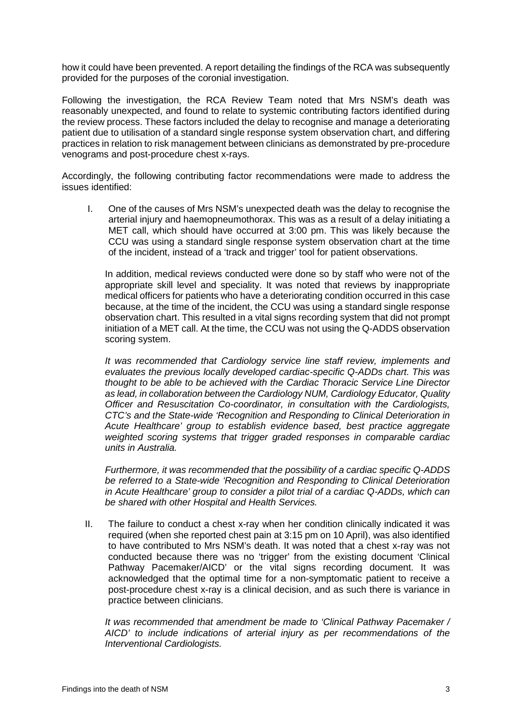how it could have been prevented. A report detailing the findings of the RCA was subsequently provided for the purposes of the coronial investigation.

Following the investigation, the RCA Review Team noted that Mrs NSM's death was reasonably unexpected, and found to relate to systemic contributing factors identified during the review process. These factors included the delay to recognise and manage a deteriorating patient due to utilisation of a standard single response system observation chart, and differing practices in relation to risk management between clinicians as demonstrated by pre-procedure venograms and post-procedure chest x-rays.

Accordingly, the following contributing factor recommendations were made to address the issues identified:

I. One of the causes of Mrs NSM's unexpected death was the delay to recognise the arterial injury and haemopneumothorax. This was as a result of a delay initiating a MET call, which should have occurred at 3:00 pm. This was likely because the CCU was using a standard single response system observation chart at the time of the incident, instead of a 'track and trigger' tool for patient observations.

In addition, medical reviews conducted were done so by staff who were not of the appropriate skill level and speciality. It was noted that reviews by inappropriate medical officers for patients who have a deteriorating condition occurred in this case because, at the time of the incident, the CCU was using a standard single response observation chart. This resulted in a vital signs recording system that did not prompt initiation of a MET call. At the time, the CCU was not using the Q-ADDS observation scoring system.

*It was recommended that Cardiology service line staff review, implements and evaluates the previous locally developed cardiac-specific Q-ADDs chart. This was thought to be able to be achieved with the Cardiac Thoracic Service Line Director as lead, in collaboration between the Cardiology NUM, Cardiology Educator, Quality Officer and Resuscitation Co-coordinator, in consultation with the Cardiologists, CTC's and the State-wide 'Recognition and Responding to Clinical Deterioration in Acute Healthcare' group to establish evidence based, best practice aggregate weighted scoring systems that trigger graded responses in comparable cardiac units in Australia.* 

*Furthermore, it was recommended that the possibility of a cardiac specific Q-ADDS be referred to a State-wide 'Recognition and Responding to Clinical Deterioration in Acute Healthcare' group to consider a pilot trial of a cardiac Q-ADDs, which can be shared with other Hospital and Health Services.* 

II. The failure to conduct a chest x-ray when her condition clinically indicated it was required (when she reported chest pain at 3:15 pm on 10 April), was also identified to have contributed to Mrs NSM's death. It was noted that a chest x-ray was not conducted because there was no 'trigger' from the existing document 'Clinical Pathway Pacemaker/AICD' or the vital signs recording document. It was acknowledged that the optimal time for a non-symptomatic patient to receive a post-procedure chest x-ray is a clinical decision, and as such there is variance in practice between clinicians.

*It was recommended that amendment be made to 'Clinical Pathway Pacemaker / AICD' to include indications of arterial injury as per recommendations of the Interventional Cardiologists.*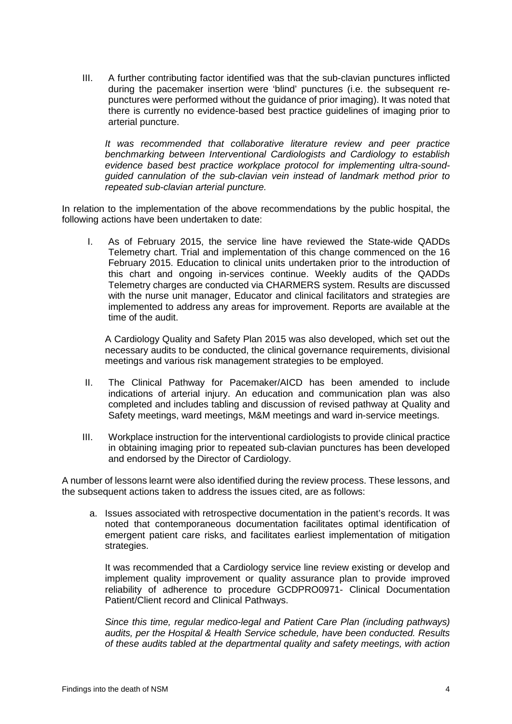III. A further contributing factor identified was that the sub-clavian punctures inflicted during the pacemaker insertion were 'blind' punctures (i.e. the subsequent repunctures were performed without the guidance of prior imaging). It was noted that there is currently no evidence-based best practice guidelines of imaging prior to arterial puncture.

*It was recommended that collaborative literature review and peer practice benchmarking between Interventional Cardiologists and Cardiology to establish evidence based best practice workplace protocol for implementing ultra-soundguided cannulation of the sub-clavian vein instead of landmark method prior to repeated sub-clavian arterial puncture.* 

In relation to the implementation of the above recommendations by the public hospital, the following actions have been undertaken to date:

I. As of February 2015, the service line have reviewed the State-wide QADDs Telemetry chart. Trial and implementation of this change commenced on the 16 February 2015. Education to clinical units undertaken prior to the introduction of this chart and ongoing in-services continue. Weekly audits of the QADDs Telemetry charges are conducted via CHARMERS system. Results are discussed with the nurse unit manager, Educator and clinical facilitators and strategies are implemented to address any areas for improvement. Reports are available at the time of the audit.

A Cardiology Quality and Safety Plan 2015 was also developed, which set out the necessary audits to be conducted, the clinical governance requirements, divisional meetings and various risk management strategies to be employed.

- II. The Clinical Pathway for Pacemaker/AICD has been amended to include indications of arterial injury. An education and communication plan was also completed and includes tabling and discussion of revised pathway at Quality and Safety meetings, ward meetings, M&M meetings and ward in-service meetings.
- III. Workplace instruction for the interventional cardiologists to provide clinical practice in obtaining imaging prior to repeated sub-clavian punctures has been developed and endorsed by the Director of Cardiology.

A number of lessons learnt were also identified during the review process. These lessons, and the subsequent actions taken to address the issues cited, are as follows:

a. Issues associated with retrospective documentation in the patient's records. It was noted that contemporaneous documentation facilitates optimal identification of emergent patient care risks, and facilitates earliest implementation of mitigation strategies.

It was recommended that a Cardiology service line review existing or develop and implement quality improvement or quality assurance plan to provide improved reliability of adherence to procedure GCDPRO0971- Clinical Documentation Patient/Client record and Clinical Pathways.

*Since this time, regular medico-legal and Patient Care Plan (including pathways) audits, per the Hospital & Health Service schedule, have been conducted. Results of these audits tabled at the departmental quality and safety meetings, with action*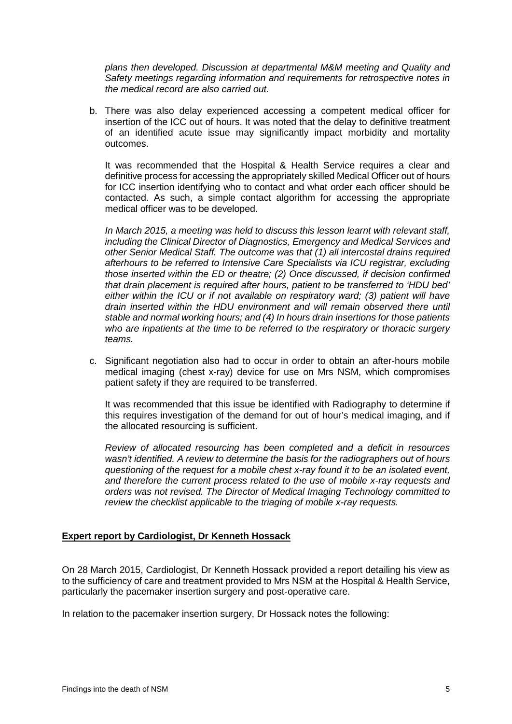*plans then developed. Discussion at departmental M&M meeting and Quality and Safety meetings regarding information and requirements for retrospective notes in the medical record are also carried out.* 

b. There was also delay experienced accessing a competent medical officer for insertion of the ICC out of hours. It was noted that the delay to definitive treatment of an identified acute issue may significantly impact morbidity and mortality outcomes.

It was recommended that the Hospital & Health Service requires a clear and definitive process for accessing the appropriately skilled Medical Officer out of hours for ICC insertion identifying who to contact and what order each officer should be contacted. As such, a simple contact algorithm for accessing the appropriate medical officer was to be developed.

*In March 2015, a meeting was held to discuss this lesson learnt with relevant staff, including the Clinical Director of Diagnostics, Emergency and Medical Services and other Senior Medical Staff. The outcome was that (1) all intercostal drains required afterhours to be referred to Intensive Care Specialists via ICU registrar, excluding those inserted within the ED or theatre; (2) Once discussed, if decision confirmed that drain placement is required after hours, patient to be transferred to 'HDU bed' either within the ICU or if not available on respiratory ward; (3) patient will have drain inserted within the HDU environment and will remain observed there until stable and normal working hours; and (4) In hours drain insertions for those patients who are inpatients at the time to be referred to the respiratory or thoracic surgery teams.* 

c. Significant negotiation also had to occur in order to obtain an after-hours mobile medical imaging (chest x-ray) device for use on Mrs NSM, which compromises patient safety if they are required to be transferred.

It was recommended that this issue be identified with Radiography to determine if this requires investigation of the demand for out of hour's medical imaging, and if the allocated resourcing is sufficient.

*Review of allocated resourcing has been completed and a deficit in resources wasn't identified. A review to determine the basis for the radiographers out of hours questioning of the request for a mobile chest x-ray found it to be an isolated event, and therefore the current process related to the use of mobile x-ray requests and orders was not revised. The Director of Medical Imaging Technology committed to review the checklist applicable to the triaging of mobile x-ray requests.* 

#### <span id="page-6-0"></span>**Expert report by Cardiologist, Dr Kenneth Hossack**

On 28 March 2015, Cardiologist, Dr Kenneth Hossack provided a report detailing his view as to the sufficiency of care and treatment provided to Mrs NSM at the Hospital & Health Service, particularly the pacemaker insertion surgery and post-operative care.

In relation to the pacemaker insertion surgery, Dr Hossack notes the following: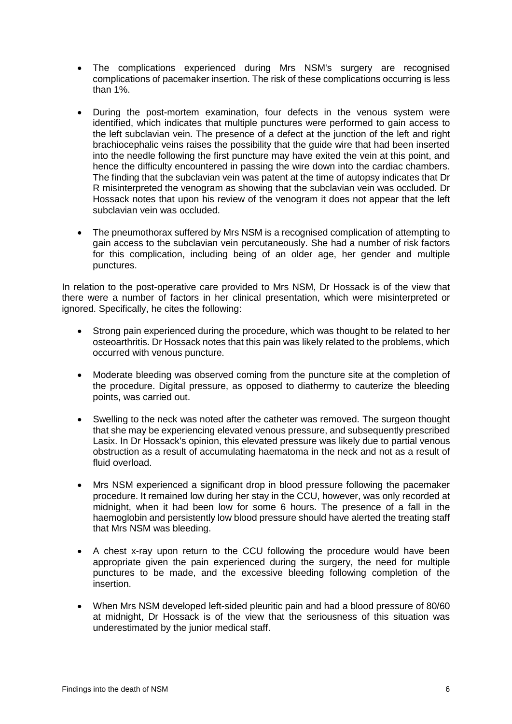- The complications experienced during Mrs NSM's surgery are recognised complications of pacemaker insertion. The risk of these complications occurring is less than 1%.
- During the post-mortem examination, four defects in the venous system were identified, which indicates that multiple punctures were performed to gain access to the left subclavian vein. The presence of a defect at the junction of the left and right brachiocephalic veins raises the possibility that the guide wire that had been inserted into the needle following the first puncture may have exited the vein at this point, and hence the difficulty encountered in passing the wire down into the cardiac chambers. The finding that the subclavian vein was patent at the time of autopsy indicates that Dr R misinterpreted the venogram as showing that the subclavian vein was occluded. Dr Hossack notes that upon his review of the venogram it does not appear that the left subclavian vein was occluded.
- The pneumothorax suffered by Mrs NSM is a recognised complication of attempting to gain access to the subclavian vein percutaneously. She had a number of risk factors for this complication, including being of an older age, her gender and multiple punctures.

In relation to the post-operative care provided to Mrs NSM, Dr Hossack is of the view that there were a number of factors in her clinical presentation, which were misinterpreted or ignored. Specifically, he cites the following:

- Strong pain experienced during the procedure, which was thought to be related to her osteoarthritis. Dr Hossack notes that this pain was likely related to the problems, which occurred with venous puncture.
- Moderate bleeding was observed coming from the puncture site at the completion of the procedure. Digital pressure, as opposed to diathermy to cauterize the bleeding points, was carried out.
- Swelling to the neck was noted after the catheter was removed. The surgeon thought that she may be experiencing elevated venous pressure, and subsequently prescribed Lasix. In Dr Hossack's opinion, this elevated pressure was likely due to partial venous obstruction as a result of accumulating haematoma in the neck and not as a result of fluid overload.
- Mrs NSM experienced a significant drop in blood pressure following the pacemaker procedure. It remained low during her stay in the CCU, however, was only recorded at midnight, when it had been low for some 6 hours. The presence of a fall in the haemoglobin and persistently low blood pressure should have alerted the treating staff that Mrs NSM was bleeding.
- A chest x-ray upon return to the CCU following the procedure would have been appropriate given the pain experienced during the surgery, the need for multiple punctures to be made, and the excessive bleeding following completion of the insertion.
- When Mrs NSM developed left-sided pleuritic pain and had a blood pressure of 80/60 at midnight, Dr Hossack is of the view that the seriousness of this situation was underestimated by the junior medical staff.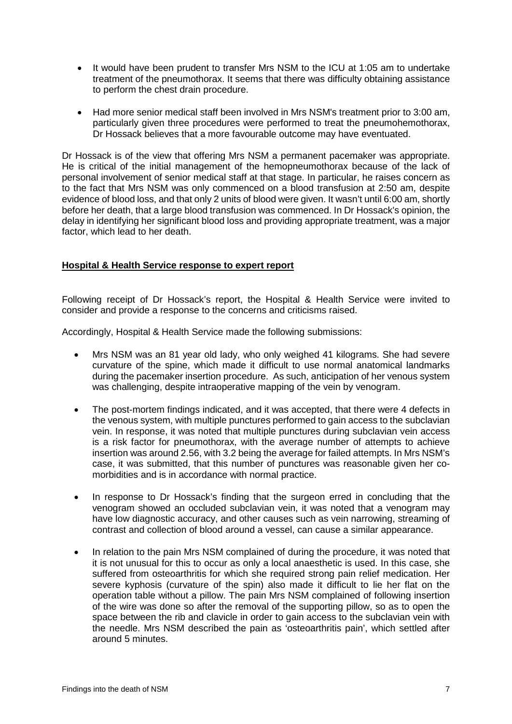- It would have been prudent to transfer Mrs NSM to the ICU at 1:05 am to undertake treatment of the pneumothorax. It seems that there was difficulty obtaining assistance to perform the chest drain procedure.
- Had more senior medical staff been involved in Mrs NSM's treatment prior to 3:00 am, particularly given three procedures were performed to treat the pneumohemothorax, Dr Hossack believes that a more favourable outcome may have eventuated.

Dr Hossack is of the view that offering Mrs NSM a permanent pacemaker was appropriate. He is critical of the initial management of the hemopneumothorax because of the lack of personal involvement of senior medical staff at that stage. In particular, he raises concern as to the fact that Mrs NSM was only commenced on a blood transfusion at 2:50 am, despite evidence of blood loss, and that only 2 units of blood were given. It wasn't until 6:00 am, shortly before her death, that a large blood transfusion was commenced. In Dr Hossack's opinion, the delay in identifying her significant blood loss and providing appropriate treatment, was a major factor, which lead to her death.

#### <span id="page-8-0"></span>**Hospital & Health Service response to expert report**

Following receipt of Dr Hossack's report, the Hospital & Health Service were invited to consider and provide a response to the concerns and criticisms raised.

Accordingly, Hospital & Health Service made the following submissions:

- Mrs NSM was an 81 year old lady, who only weighed 41 kilograms. She had severe curvature of the spine, which made it difficult to use normal anatomical landmarks during the pacemaker insertion procedure. As such, anticipation of her venous system was challenging, despite intraoperative mapping of the vein by venogram.
- The post-mortem findings indicated, and it was accepted, that there were 4 defects in the venous system, with multiple punctures performed to gain access to the subclavian vein. In response, it was noted that multiple punctures during subclavian vein access is a risk factor for pneumothorax, with the average number of attempts to achieve insertion was around 2.56, with 3.2 being the average for failed attempts. In Mrs NSM's case, it was submitted, that this number of punctures was reasonable given her comorbidities and is in accordance with normal practice.
- In response to Dr Hossack's finding that the surgeon erred in concluding that the venogram showed an occluded subclavian vein, it was noted that a venogram may have low diagnostic accuracy, and other causes such as vein narrowing, streaming of contrast and collection of blood around a vessel, can cause a similar appearance.
- In relation to the pain Mrs NSM complained of during the procedure, it was noted that it is not unusual for this to occur as only a local anaesthetic is used. In this case, she suffered from osteoarthritis for which she required strong pain relief medication. Her severe kyphosis (curvature of the spin) also made it difficult to lie her flat on the operation table without a pillow. The pain Mrs NSM complained of following insertion of the wire was done so after the removal of the supporting pillow, so as to open the space between the rib and clavicle in order to gain access to the subclavian vein with the needle. Mrs NSM described the pain as 'osteoarthritis pain', which settled after around 5 minutes.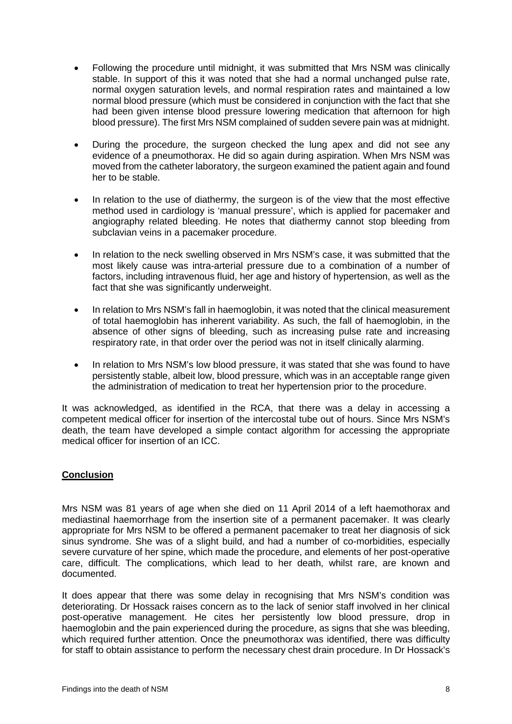- Following the procedure until midnight, it was submitted that Mrs NSM was clinically stable. In support of this it was noted that she had a normal unchanged pulse rate, normal oxygen saturation levels, and normal respiration rates and maintained a low normal blood pressure (which must be considered in conjunction with the fact that she had been given intense blood pressure lowering medication that afternoon for high blood pressure). The first Mrs NSM complained of sudden severe pain was at midnight.
- During the procedure, the surgeon checked the lung apex and did not see any evidence of a pneumothorax. He did so again during aspiration. When Mrs NSM was moved from the catheter laboratory, the surgeon examined the patient again and found her to be stable.
- In relation to the use of diathermy, the surgeon is of the view that the most effective method used in cardiology is 'manual pressure', which is applied for pacemaker and angiography related bleeding. He notes that diathermy cannot stop bleeding from subclavian veins in a pacemaker procedure.
- In relation to the neck swelling observed in Mrs NSM's case, it was submitted that the most likely cause was intra-arterial pressure due to a combination of a number of factors, including intravenous fluid, her age and history of hypertension, as well as the fact that she was significantly underweight.
- In relation to Mrs NSM's fall in haemoglobin, it was noted that the clinical measurement of total haemoglobin has inherent variability. As such, the fall of haemoglobin, in the absence of other signs of bleeding, such as increasing pulse rate and increasing respiratory rate, in that order over the period was not in itself clinically alarming.
- In relation to Mrs NSM's low blood pressure, it was stated that she was found to have persistently stable, albeit low, blood pressure, which was in an acceptable range given the administration of medication to treat her hypertension prior to the procedure.

It was acknowledged, as identified in the RCA, that there was a delay in accessing a competent medical officer for insertion of the intercostal tube out of hours. Since Mrs NSM's death, the team have developed a simple contact algorithm for accessing the appropriate medical officer for insertion of an ICC.

## <span id="page-9-0"></span>**Conclusion**

Mrs NSM was 81 years of age when she died on 11 April 2014 of a left haemothorax and mediastinal haemorrhage from the insertion site of a permanent pacemaker. It was clearly appropriate for Mrs NSM to be offered a permanent pacemaker to treat her diagnosis of sick sinus syndrome. She was of a slight build, and had a number of co-morbidities, especially severe curvature of her spine, which made the procedure, and elements of her post-operative care, difficult. The complications, which lead to her death, whilst rare, are known and documented.

It does appear that there was some delay in recognising that Mrs NSM's condition was deteriorating. Dr Hossack raises concern as to the lack of senior staff involved in her clinical post-operative management. He cites her persistently low blood pressure, drop in haemoglobin and the pain experienced during the procedure, as signs that she was bleeding, which required further attention. Once the pneumothorax was identified, there was difficulty for staff to obtain assistance to perform the necessary chest drain procedure. In Dr Hossack's